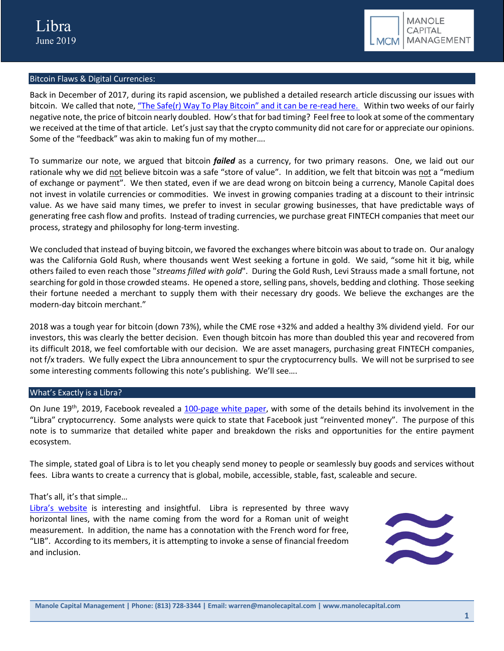

# Bitcoin Flaws & Digital Currencies:

Back in December of 2017, during its rapid ascension, we published a detailed research article discussing our issues with bitcoin. We called that note, "The Safe(r) Way To Play Bitcoin" and it can be re-read here. Within two weeks of our fairly negative note, the price of bitcoin nearly doubled. How's that for bad timing? Feel free to look at some of the commentary we received at the time of that article. Let's just say that the crypto community did not care for or appreciate our opinions. Some of the "feedback" was akin to making fun of my mother….

To summarize our note, we argued that bitcoin *failed* as a currency, for two primary reasons. One, we laid out our rationale why we did not believe bitcoin was a safe "store of value". In addition, we felt that bitcoin was not a "medium of exchange or payment". We then stated, even if we are dead wrong on bitcoin being a currency, Manole Capital does not invest in volatile currencies or commodities. We invest in growing companies trading at a discount to their intrinsic value. As we have said many times, we prefer to invest in secular growing businesses, that have predictable ways of generating free cash flow and profits. Instead of trading currencies, we purchase great FINTECH companies that meet our process, strategy and philosophy for long-term investing.

We concluded that instead of buying bitcoin, we favored the exchanges where bitcoin was about to trade on. Our analogy was the California Gold Rush, where thousands went West seeking a fortune in gold. We said, "some hit it big, while others failed to even reach those "*streams filled with gold*". During the Gold Rush, Levi Strauss made a small fortune, not searching for gold in those crowded steams. He opened a store, selling pans, shovels, bedding and clothing. Those seeking their fortune needed a merchant to supply them with their necessary dry goods. We believe the exchanges are the modern-day bitcoin merchant."

2018 was a tough year for bitcoin (down 73%), while the CME rose +32% and added a healthy 3% dividend yield. For our investors, this was clearly the better decision. Even though bitcoin has more than doubled this year and recovered from its difficult 2018, we feel comfortable with our decision. We are asset managers, purchasing great FINTECH companies, not f/x traders. We fully expect the Libra announcement to spur the cryptocurrency bulls. We will not be surprised to see some interesting comments following this note's publishing. We'll see….

# What's Exactly is a Libra?

On June 19<sup>th</sup>, 2019, Facebook revealed a 100-page white paper, with some of the details behind its involvement in the "Libra" cryptocurrency. Some analysts were quick to state that Facebook just "reinvented money". The purpose of this note is to summarize that detailed white paper and breakdown the risks and opportunities for the entire payment ecosystem.

The simple, stated goal of Libra is to let you cheaply send money to people or seamlessly buy goods and services without fees. Libra wants to create a currency that is global, mobile, accessible, stable, fast, scaleable and secure.

# That's all, it's that simple…

Libra's website is interesting and insightful. Libra is represented by three wavy horizontal lines, with the name coming from the word for a Roman unit of weight measurement. In addition, the name has a connotation with the French word for free, "LIB". According to its members, it is attempting to invoke a sense of financial freedom and inclusion.

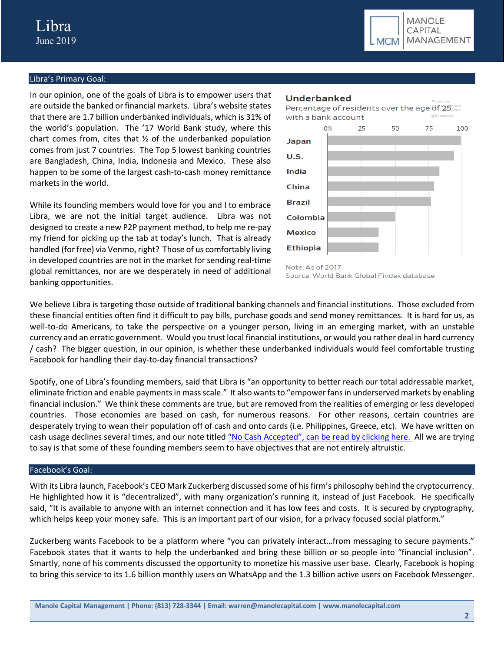

# Libra's Primary Goal:

In our opinion, one of the goals of Libra is to empower users that are outside the banked or financial markets. Libra's website states that there are 1.7 billion underbanked individuals, which is 31% of the world's population. The '17 World Bank study, where this chart comes from, cites that  $\frac{1}{2}$  of the underbanked population comes from just 7 countries. The Top 5 lowest banking countries are Bangladesh, China, India, Indonesia and Mexico. These also happen to be some of the largest cash-to-cash money remittance markets in the world.

While its founding members would love for you and I to embrace Libra, we are not the initial target audience. Libra was not designed to create a new P2P payment method, to help me re-pay my friend for picking up the tab at today's lunch. That is already handled (for free) via Venmo, right? Those of us comfortably living in developed countries are not in the market for sending real-time global remittances, nor are we desperately in need of additional banking opportunities.



We believe Libra is targeting those outside of traditional banking channels and financial institutions. Those excluded from these financial entities often find it difficult to pay bills, purchase goods and send money remittances. It is hard for us, as well-to-do Americans, to take the perspective on a younger person, living in an emerging market, with an unstable currency and an erratic government. Would you trust local financial institutions, or would you rather deal in hard currency / cash? The bigger question, in our opinion, is whether these underbanked individuals would feel comfortable trusting Facebook for handling their day-to-day financial transactions?

Spotify, one of Libra's founding members, said that Libra is "an opportunity to better reach our total addressable market, eliminate friction and enable payments in mass scale." It also wants to "empower fans in underserved markets by enabling financial inclusion." We think these comments are true, but are removed from the realities of emerging or less developed countries. Those economies are based on cash, for numerous reasons. For other reasons, certain countries are desperately trying to wean their population off of cash and onto cards (i.e. Philippines, Greece, etc). We have written on cash usage declines several times, and our note titled "No Cash Accepted", can be read by clicking here. All we are trying to say is that some of these founding members seem to have objectives that are not entirely altruistic.

#### Facebook's Goal:

With its Libra launch, Facebook's CEO Mark Zuckerberg discussed some of his firm's philosophy behind the cryptocurrency. He highlighted how it is "decentralized", with many organization's running it, instead of just Facebook. He specifically said, "It is available to anyone with an internet connection and it has low fees and costs. It is secured by cryptography, which helps keep your money safe. This is an important part of our vision, for a privacy focused social platform."

Zuckerberg wants Facebook to be a platform where "you can privately interact…from messaging to secure payments." Facebook states that it wants to help the underbanked and bring these billion or so people into "financial inclusion". Smartly, none of his comments discussed the opportunity to monetize his massive user base. Clearly, Facebook is hoping to bring this service to its 1.6 billion monthly users on WhatsApp and the 1.3 billion active users on Facebook Messenger.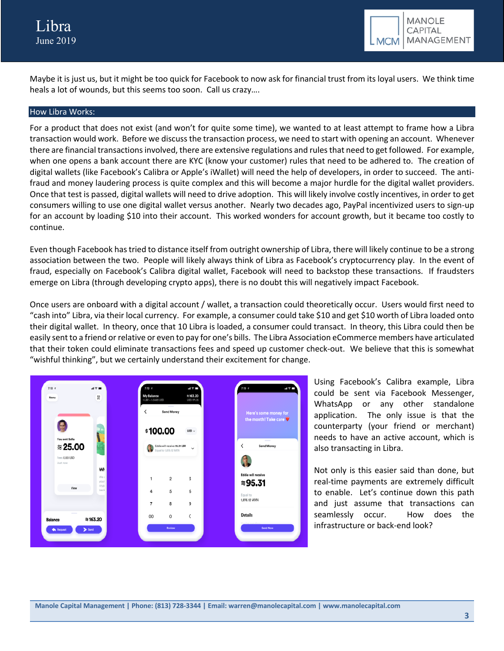

Maybe it is just us, but it might be too quick for Facebook to now ask for financial trust from its loyal users. We think time heals a lot of wounds, but this seems too soon. Call us crazy….

#### How Libra Works:

For a product that does not exist (and won't for quite some time), we wanted to at least attempt to frame how a Libra transaction would work. Before we discuss the transaction process, we need to start with opening an account. Whenever there are financial transactions involved, there are extensive regulations and rules that need to get followed. For example, when one opens a bank account there are KYC (know your customer) rules that need to be adhered to. The creation of digital wallets (like Facebook's Calibra or Apple's iWallet) will need the help of developers, in order to succeed. The antifraud and money laudering process is quite complex and this will become a major hurdle for the digital wallet providers. Once that test is passed, digital wallets will need to drive adoption. This will likely involve costly incentives, in order to get consumers willing to use one digital wallet versus another. Nearly two decades ago, PayPal incentivized users to sign-up for an account by loading \$10 into their account. This worked wonders for account growth, but it became too costly to continue.

Even though Facebook has tried to distance itself from outright ownership of Libra, there will likely continue to be a strong association between the two. People will likely always think of Libra as Facebook's cryptocurrency play. In the event of fraud, especially on Facebook's Calibra digital wallet, Facebook will need to backstop these transactions. If fraudsters emerge on Libra (through developing crypto apps), there is no doubt this will negatively impact Facebook.

Once users are onboard with a digital account / wallet, a transaction could theoretically occur. Users would first need to "cash into" Libra, via their local currency. For example, a consumer could take \$10 and get \$10 worth of Libra loaded onto their digital wallet. In theory, once that 10 Libra is loaded, a consumer could transact. In theory, this Libra could then be easily sent to a friend or relative or even to pay for one's bills. The Libra Association eCommerce members have articulated that their token could eliminate transactions fees and speed up customer check-out. We believe that this is somewhat "wishful thinking", but we certainly understand their excitement for change.



Using Facebook's Calibra example, Libra could be sent via Facebook Messenger, WhatsApp or any other standalone application. The only issue is that the counterparty (your friend or merchant) needs to have an active account, which is also transacting in Libra.

Not only is this easier said than done, but real-time payments are extremely difficult to enable. Let's continue down this path and just assume that transactions can seamlessly occur. How does the infrastructure or back-end look?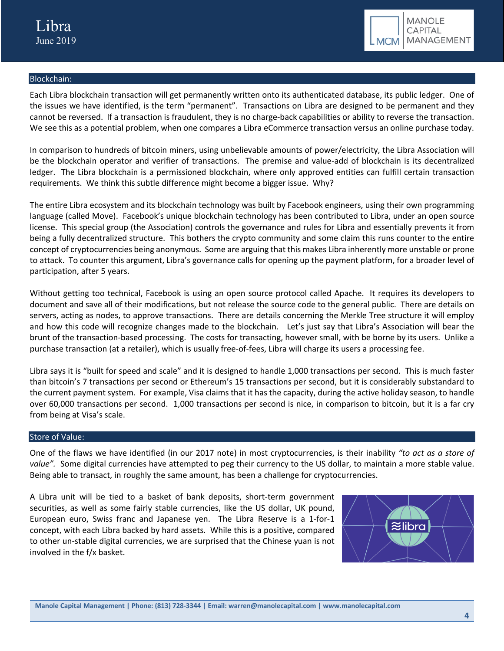

# Blockchain:

Each Libra blockchain transaction will get permanently written onto its authenticated database, its public ledger. One of the issues we have identified, is the term "permanent". Transactions on Libra are designed to be permanent and they cannot be reversed. If a transaction is fraudulent, they is no charge-back capabilities or ability to reverse the transaction. We see this as a potential problem, when one compares a Libra eCommerce transaction versus an online purchase today.

In comparison to hundreds of bitcoin miners, using unbelievable amounts of power/electricity, the Libra Association will be the blockchain operator and verifier of transactions. The premise and value-add of blockchain is its decentralized ledger. The Libra blockchain is a permissioned blockchain, where only approved entities can fulfill certain transaction requirements. We think this subtle difference might become a bigger issue. Why?

The entire Libra ecosystem and its blockchain technology was built by Facebook engineers, using their own programming language (called Move). Facebook's unique blockchain technology has been contributed to Libra, under an open source license. This special group (the Association) controls the governance and rules for Libra and essentially prevents it from being a fully decentralized structure. This bothers the crypto community and some claim this runs counter to the entire concept of cryptocurrencies being anonymous. Some are arguing that this makes Libra inherently more unstable or prone to attack. To counter this argument, Libra's governance calls for opening up the payment platform, for a broader level of participation, after 5 years.

Without getting too technical, Facebook is using an open source protocol called Apache. It requires its developers to document and save all of their modifications, but not release the source code to the general public. There are details on servers, acting as nodes, to approve transactions. There are details concerning the Merkle Tree structure it will employ and how this code will recognize changes made to the blockchain. Let's just say that Libra's Association will bear the brunt of the transaction-based processing. The costs for transacting, however small, with be borne by its users. Unlike a purchase transaction (at a retailer), which is usually free-of-fees, Libra will charge its users a processing fee.

Libra says it is "built for speed and scale" and it is designed to handle 1,000 transactions per second. This is much faster than bitcoin's 7 transactions per second or Ethereum's 15 transactions per second, but it is considerably substandard to the current payment system. For example, Visa claims that it has the capacity, during the active holiday season, to handle over 60,000 transactions per second. 1,000 transactions per second is nice, in comparison to bitcoin, but it is a far cry from being at Visa's scale.

#### Store of Value:

One of the flaws we have identified (in our 2017 note) in most cryptocurrencies, is their inability *"to act as a store of value".* Some digital currencies have attempted to peg their currency to the US dollar, to maintain a more stable value. Being able to transact, in roughly the same amount, has been a challenge for cryptocurrencies.

A Libra unit will be tied to a basket of bank deposits, short-term government securities, as well as some fairly stable currencies, like the US dollar, UK pound, European euro, Swiss franc and Japanese yen. The Libra Reserve is a 1-for-1 concept, with each Libra backed by hard assets. While this is a positive, compared to other un-stable digital currencies, we are surprised that the Chinese yuan is not involved in the f/x basket.

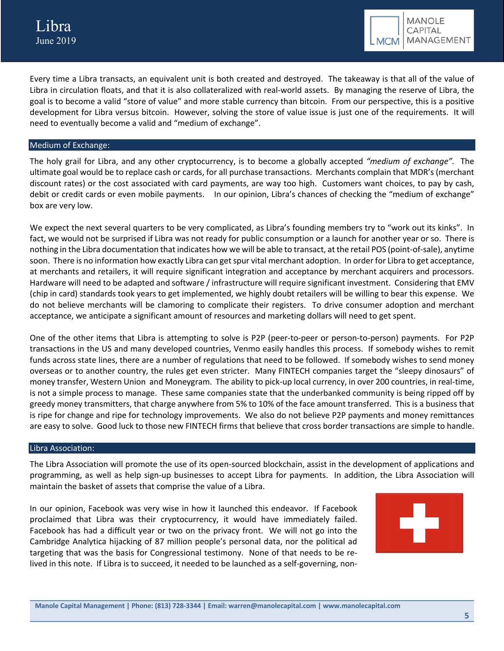Every time a Libra transacts, an equivalent unit is both created and destroyed. The takeaway is that all of the value of Libra in circulation floats, and that it is also collateralized with real-world assets. By managing the reserve of Libra, the goal is to become a valid "store of value" and more stable currency than bitcoin. From our perspective, this is a positive development for Libra versus bitcoin. However, solving the store of value issue is just one of the requirements. It will need to eventually become a valid and "medium of exchange".

# Medium of Exchange:

The holy grail for Libra, and any other cryptocurrency, is to become a globally accepted *"medium of exchange".* The ultimate goal would be to replace cash or cards, for all purchase transactions. Merchants complain that MDR's (merchant discount rates) or the cost associated with card payments, are way too high. Customers want choices, to pay by cash, debit or credit cards or even mobile payments. In our opinion, Libra's chances of checking the "medium of exchange" box are very low.

We expect the next several quarters to be very complicated, as Libra's founding members try to "work out its kinks". In fact, we would not be surprised if Libra was not ready for public consumption or a launch for another year or so. There is nothing in the Libra documentation that indicates how we will be able to transact, at the retail POS (point-of-sale), anytime soon. There is no information how exactly Libra can get spur vital merchant adoption. In order for Libra to get acceptance, at merchants and retailers, it will require significant integration and acceptance by merchant acquirers and processors. Hardware will need to be adapted and software / infrastructure will require significant investment. Considering that EMV (chip in card) standards took years to get implemented, we highly doubt retailers will be willing to bear this expense. We do not believe merchants will be clamoring to complicate their registers. To drive consumer adoption and merchant acceptance, we anticipate a significant amount of resources and marketing dollars will need to get spent.

One of the other items that Libra is attempting to solve is P2P (peer-to-peer or person-to-person) payments. For P2P transactions in the US and many developed countries, Venmo easily handles this process. If somebody wishes to remit funds across state lines, there are a number of regulations that need to be followed. If somebody wishes to send money overseas or to another country, the rules get even stricter. Many FINTECH companies target the "sleepy dinosaurs" of money transfer, Western Union and Moneygram. The ability to pick-up local currency, in over 200 countries, in real-time, is not a simple process to manage. These same companies state that the underbanked community is being ripped off by greedy money transmitters, that charge anywhere from 5% to 10% of the face amount transferred. This is a business that is ripe for change and ripe for technology improvements. We also do not believe P2P payments and money remittances are easy to solve. Good luck to those new FINTECH firms that believe that cross border transactions are simple to handle.

#### Libra Association:

The Libra Association will promote the use of its open-sourced blockchain, assist in the development of applications and programming, as well as help sign-up businesses to accept Libra for payments. In addition, the Libra Association will maintain the basket of assets that comprise the value of a Libra.

In our opinion, Facebook was very wise in how it launched this endeavor. If Facebook proclaimed that Libra was their cryptocurrency, it would have immediately failed. Facebook has had a difficult year or two on the privacy front. We will not go into the Cambridge Analytica hijacking of 87 million people's personal data, nor the political ad targeting that was the basis for Congressional testimony. None of that needs to be relived in this note. If Libra is to succeed, it needed to be launched as a self-governing, non-

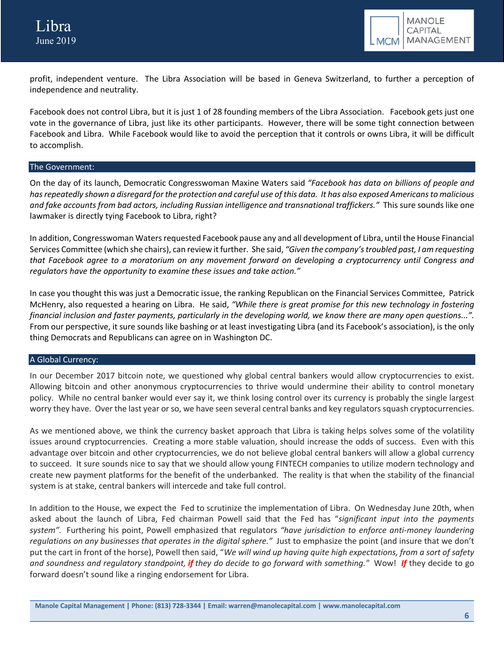

profit, independent venture. The Libra Association will be based in Geneva Switzerland, to further a perception of independence and neutrality.

Facebook does not control Libra, but it is just 1 of 28 founding members of the Libra Association. Facebook gets just one vote in the governance of Libra, just like its other participants. However, there will be some tight connection between Facebook and Libra. While Facebook would like to avoid the perception that it controls or owns Libra, it will be difficult to accomplish.

# The Government:

On the day of its launch, Democratic Congresswoman Maxine Waters said *"Facebook has data on billions of people and has repeatedly shown a disregard for the protection and careful use of this data. It has also exposed Americans to malicious and fake accounts from bad actors, including Russian intelligence and transnational traffickers."* This sure sounds like one lawmaker is directly tying Facebook to Libra, right?

In addition, Congresswoman Waters requested Facebook pause any and all development of Libra, until the House Financial Services Committee (which she chairs), can review it further. She said, *"Given the company's troubled past, I am requesting that Facebook agree to a moratorium on any movement forward on developing a cryptocurrency until Congress and regulators have the opportunity to examine these issues and take action."*

In case you thought this was just a Democratic issue, the ranking Republican on the Financial Services Committee, Patrick McHenry, also requested a hearing on Libra. He said, *"While there is great promise for this new technology in fostering financial inclusion and faster payments, particularly in the developing world, we know there are many open questions...".*  From our perspective, it sure sounds like bashing or at least investigating Libra (and its Facebook's association), is the only thing Democrats and Republicans can agree on in Washington DC.

# A Global Currency:

In our December 2017 bitcoin note, we questioned why global central bankers would allow cryptocurrencies to exist. Allowing bitcoin and other anonymous cryptocurrencies to thrive would undermine their ability to control monetary policy. While no central banker would ever say it, we think losing control over its currency is probably the single largest worry they have. Over the last year or so, we have seen several central banks and key regulators squash cryptocurrencies.

As we mentioned above, we think the currency basket approach that Libra is taking helps solves some of the volatility issues around cryptocurrencies. Creating a more stable valuation, should increase the odds of success. Even with this advantage over bitcoin and other cryptocurrencies, we do not believe global central bankers will allow a global currency to succeed. It sure sounds nice to say that we should allow young FINTECH companies to utilize modern technology and create new payment platforms for the benefit of the underbanked. The reality is that when the stability of the financial system is at stake, central bankers will intercede and take full control.

In addition to the House, we expect the Fed to scrutinize the implementation of Libra. On Wednesday June 20th, when asked about the launch of Libra, Fed chairman Powell said that the Fed has "*significant input into the payments system".* Furthering his point, Powell emphasized that regulators *"have jurisdiction to enforce anti-money laundering regulations on any businesses that operates in the digital sphere."* Just to emphasize the point (and insure that we don't put the cart in front of the horse), Powell then said, "*We will wind up having quite high expectations, from a sort of safety and soundness and regulatory standpoint, if they do decide to go forward with something."* Wow! *If* they decide to go forward doesn't sound like a ringing endorsement for Libra.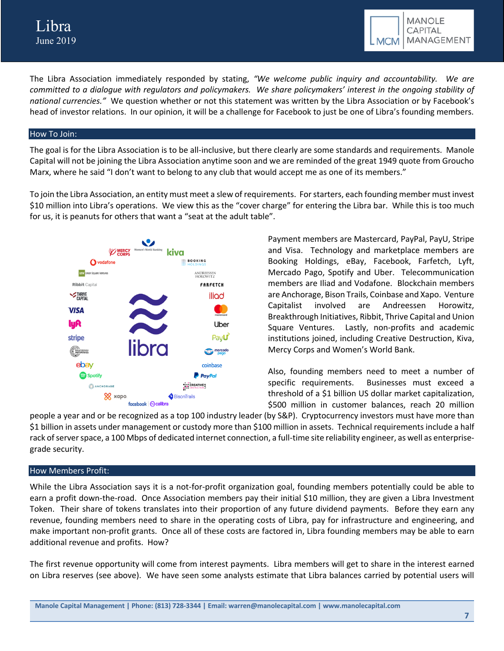

The Libra Association immediately responded by stating, *"We welcome public inquiry and accountability. We are committed to a dialogue with regulators and policymakers. We share policymakers' interest in the ongoing stability of national currencies."* We question whether or not this statement was written by the Libra Association or by Facebook's head of investor relations. In our opinion, it will be a challenge for Facebook to just be one of Libra's founding members.

#### How To Join:

The goal is for the Libra Association is to be all-inclusive, but there clearly are some standards and requirements. Manole Capital will not be joining the Libra Association anytime soon and we are reminded of the great 1949 quote from Groucho Marx, where he said "I don't want to belong to any club that would accept me as one of its members."

To join the Libra Association, an entity must meet a slew of requirements. For starters, each founding member must invest \$10 million into Libra's operations. We view this as the "cover charge" for entering the Libra bar. While this is too much for us, it is peanuts for others that want a "seat at the adult table".



Payment members are Mastercard, PayPal, PayU, Stripe and Visa. Technology and marketplace members are Booking Holdings, eBay, Facebook, Farfetch, Lyft, Mercado Pago, Spotify and Uber. Telecommunication members are Iliad and Vodafone. Blockchain members are Anchorage, Bison Trails, Coinbase and Xapo. Venture Capitalist involved are Andreessen Horowitz, Breakthrough Initiatives, Ribbit, Thrive Capital and Union Square Ventures. Lastly, non-profits and academic institutions joined, including Creative Destruction, Kiva, Mercy Corps and Women's World Bank.

Also, founding members need to meet a number of specific requirements. Businesses must exceed a threshold of a \$1 billion US dollar market capitalization, \$500 million in customer balances, reach 20 million

people a year and or be recognized as a top 100 industry leader (by S&P). Cryptocurrency investors must have more than \$1 billion in assets under management or custody more than \$100 million in assets. Technical requirements include a half rack of server space, a 100 Mbps of dedicated internet connection, a full-time site reliability engineer, as well as enterprisegrade security.

# How Members Profit:

While the Libra Association says it is a not-for-profit organization goal, founding members potentially could be able to earn a profit down-the-road. Once Association members pay their initial \$10 million, they are given a Libra Investment Token. Their share of tokens translates into their proportion of any future dividend payments. Before they earn any revenue, founding members need to share in the operating costs of Libra, pay for infrastructure and engineering, and make important non-profit grants. Once all of these costs are factored in, Libra founding members may be able to earn additional revenue and profits. How?

The first revenue opportunity will come from interest payments. Libra members will get to share in the interest earned on Libra reserves (see above). We have seen some analysts estimate that Libra balances carried by potential users will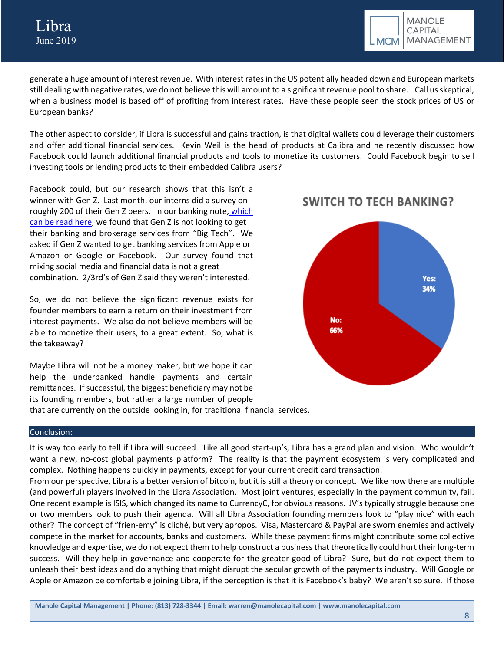

generate a huge amount of interest revenue. With interest rates in the US potentially headed down and European markets still dealing with negative rates, we do not believe this will amount to a significant revenue pool to share. Call us skeptical, when a business model is based off of profiting from interest rates. Have these people seen the stock prices of US or European banks?

The other aspect to consider, if Libra is successful and gains traction, is that digital wallets could leverage their customers and offer additional financial services. Kevin Weil is the head of products at Calibra and he recently discussed how Facebook could launch additional financial products and tools to monetize its customers. Could Facebook begin to sell investing tools or lending products to their embedded Calibra users?

Facebook could, but our research shows that this isn't a winner with Gen Z. Last month, our interns did a survey on roughly 200 of their Gen Z peers. In our banking note, which can be read here, we found that Gen Z is not looking to get their banking and brokerage services from "Big Tech". We asked if Gen Z wanted to get banking services from Apple or Amazon or Google or Facebook. Our survey found that mixing social media and financial data is not a great combination. 2/3rd's of Gen Z said they weren't interested.

So, we do not believe the significant revenue exists for founder members to earn a return on their investment from interest payments. We also do not believe members will be able to monetize their users, to a great extent. So, what is the takeaway?

Maybe Libra will not be a money maker, but we hope it can help the underbanked handle payments and certain remittances. If successful, the biggest beneficiary may not be its founding members, but rather a large number of people that are currently on the outside looking in, for traditional financial services.

# **SWITCH TO TECH BANKING?**



#### Conclusion:

It is way too early to tell if Libra will succeed. Like all good start-up's, Libra has a grand plan and vision. Who wouldn't want a new, no-cost global payments platform? The reality is that the payment ecosystem is very complicated and complex. Nothing happens quickly in payments, except for your current credit card transaction.

From our perspective, Libra is a better version of bitcoin, but it is still a theory or concept. We like how there are multiple (and powerful) players involved in the Libra Association. Most joint ventures, especially in the payment community, fail. One recent example is ISIS, which changed its name to CurrencyC, for obvious reasons. JV's typically struggle because one or two members look to push their agenda. Will all Libra Association founding members look to "play nice" with each other? The concept of "frien-emy" is cliché, but very apropos. Visa, Mastercard & PayPal are sworn enemies and actively compete in the market for accounts, banks and customers. While these payment firms might contribute some collective knowledge and expertise, we do not expect them to help construct a business that theoretically could hurt their long-term success. Will they help in governance and cooperate for the greater good of Libra? Sure, but do not expect them to unleash their best ideas and do anything that might disrupt the secular growth of the payments industry. Will Google or Apple or Amazon be comfortable joining Libra, if the perception is that it is Facebook's baby? We aren't so sure. If those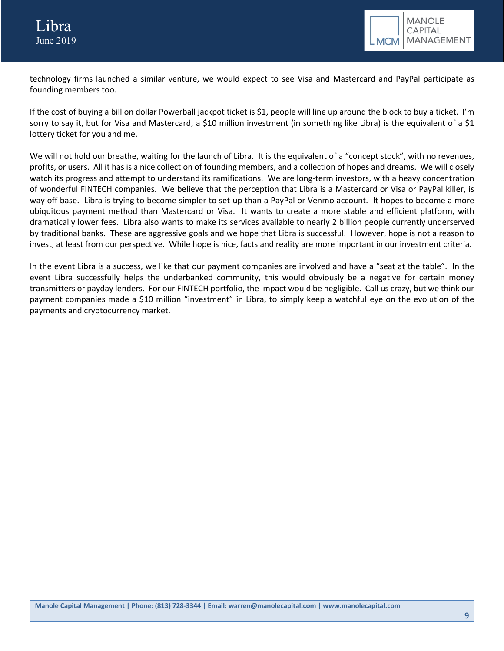technology firms launched a similar venture, we would expect to see Visa and Mastercard and PayPal participate as founding members too.

If the cost of buying a billion dollar Powerball jackpot ticket is \$1, people will line up around the block to buy a ticket. I'm sorry to say it, but for Visa and Mastercard, a \$10 million investment (in something like Libra) is the equivalent of a \$1 lottery ticket for you and me.

We will not hold our breathe, waiting for the launch of Libra. It is the equivalent of a "concept stock", with no revenues, profits, or users. All it has is a nice collection of founding members, and a collection of hopes and dreams. We will closely watch its progress and attempt to understand its ramifications. We are long-term investors, with a heavy concentration of wonderful FINTECH companies. We believe that the perception that Libra is a Mastercard or Visa or PayPal killer, is way off base. Libra is trying to become simpler to set-up than a PayPal or Venmo account. It hopes to become a more ubiquitous payment method than Mastercard or Visa. It wants to create a more stable and efficient platform, with dramatically lower fees. Libra also wants to make its services available to nearly 2 billion people currently underserved by traditional banks. These are aggressive goals and we hope that Libra is successful. However, hope is not a reason to invest, at least from our perspective. While hope is nice, facts and reality are more important in our investment criteria.

In the event Libra is a success, we like that our payment companies are involved and have a "seat at the table". In the event Libra successfully helps the underbanked community, this would obviously be a negative for certain money transmitters or payday lenders. For our FINTECH portfolio, the impact would be negligible. Call us crazy, but we think our payment companies made a \$10 million "investment" in Libra, to simply keep a watchful eye on the evolution of the payments and cryptocurrency market.